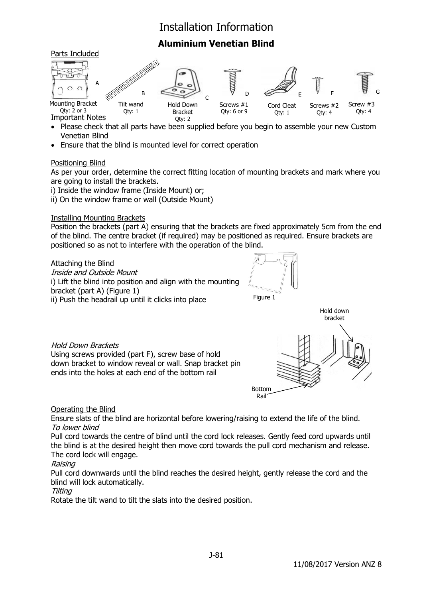# Installation Information

# **Aluminium Venetian Blind**



- Please check that all parts have been supplied before you begin to assemble your new Custom Venetian Blind
- Ensure that the blind is mounted level for correct operation

#### Positioning Blind

As per your order, determine the correct fitting location of mounting brackets and mark where you are going to install the brackets.

i) Inside the window frame (Inside Mount) or;

ii) On the window frame or wall (Outside Mount)

#### Installing Mounting Brackets

Position the brackets (part A) ensuring that the brackets are fixed approximately 5cm from the end of the blind. The centre bracket (if required) may be positioned as required. Ensure brackets are positioned so as not to interfere with the operation of the blind.

#### Attaching the Blind

Inside and Outside Mount i) Lift the blind into position and align with the mounting bracket (part A) (Figure 1) ii) Push the headrail up until it clicks into place





### Hold Down Brackets

Using screws provided (part F), screw base of hold down bracket to window reveal or wall. Snap bracket pin ends into the holes at each end of the bottom rail

#### Operating the Blind

Ensure slats of the blind are horizontal before lowering/raising to extend the life of the blind. To lower blind

Pull cord towards the centre of blind until the cord lock releases. Gently feed cord upwards until the blind is at the desired height then move cord towards the pull cord mechanism and release. The cord lock will engage.

#### Raising

Pull cord downwards until the blind reaches the desired height, gently release the cord and the blind will lock automatically.

#### Tilting

Rotate the tilt wand to tilt the slats into the desired position.